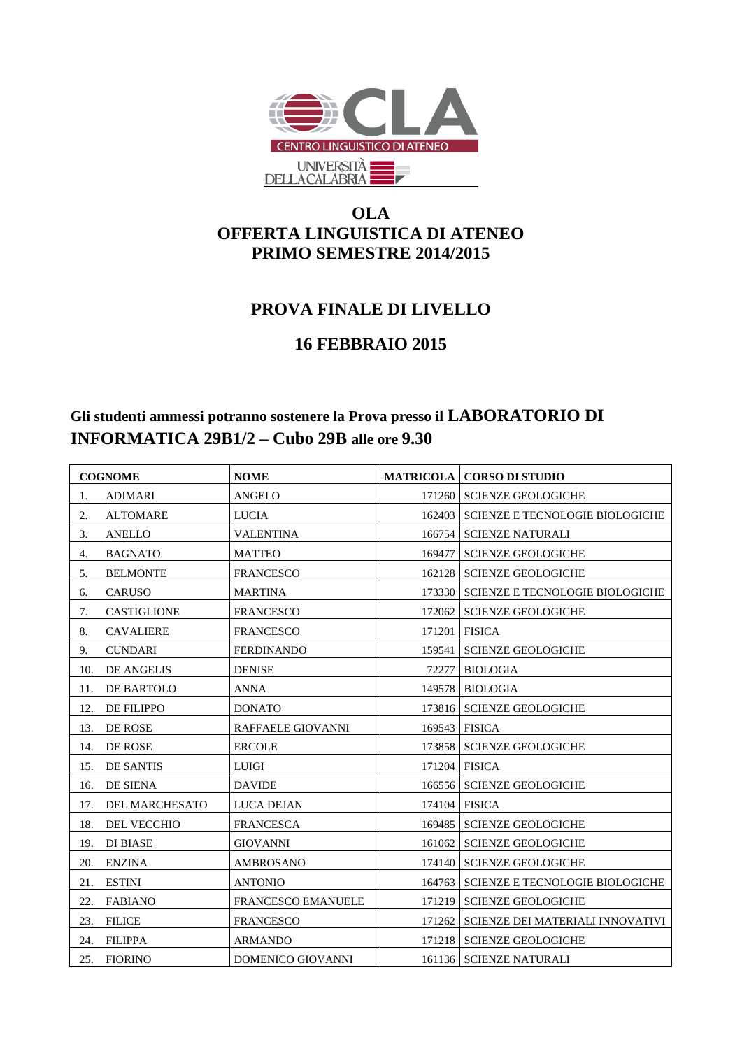

## **OLA OFFERTA LINGUISTICA DI ATENEO PRIMO SEMESTRE 2014/2015**

## **PROVA FINALE DI LIVELLO**

## **16 FEBBRAIO 2015**

## **Gli studenti ammessi potranno sostenere la Prova presso il LABORATORIO DI INFORMATICA 29B1/2 – Cubo 29B alle ore 9.30**

| <b>COGNOME</b> |                       | <b>NOME</b>               |        | <b>MATRICOLA   CORSO DI STUDIO</b>        |
|----------------|-----------------------|---------------------------|--------|-------------------------------------------|
| 1.             | <b>ADIMARI</b>        | <b>ANGELO</b>             |        | 171260 SCIENZE GEOLOGICHE                 |
| 2.             | <b>ALTOMARE</b>       | <b>LUCIA</b>              |        | 162403   SCIENZE E TECNOLOGIE BIOLOGICHE  |
| 3.             | <b>ANELLO</b>         | <b>VALENTINA</b>          |        | 166754 SCIENZE NATURALI                   |
| 4.             | <b>BAGNATO</b>        | <b>MATTEO</b>             | 169477 | <b>SCIENZE GEOLOGICHE</b>                 |
| 5.             | <b>BELMONTE</b>       | <b>FRANCESCO</b>          |        | 162128   SCIENZE GEOLOGICHE               |
| 6.             | <b>CARUSO</b>         | <b>MARTINA</b>            |        | 173330 SCIENZE E TECNOLOGIE BIOLOGICHE    |
| 7.             | <b>CASTIGLIONE</b>    | <b>FRANCESCO</b>          | 172062 | <b>SCIENZE GEOLOGICHE</b>                 |
| 8.             | <b>CAVALIERE</b>      | <b>FRANCESCO</b>          |        | 171201 FISICA                             |
| 9.             | <b>CUNDARI</b>        | <b>FERDINANDO</b>         |        | 159541   SCIENZE GEOLOGICHE               |
| 10.            | <b>DE ANGELIS</b>     | <b>DENISE</b>             |        | 72277 BIOLOGIA                            |
| 11.            | DE BARTOLO            | ANNA                      |        | 149578 BIOLOGIA                           |
| 12.            | <b>DE FILIPPO</b>     | <b>DONATO</b>             |        | 173816   SCIENZE GEOLOGICHE               |
| 13.            | DE ROSE               | <b>RAFFAELE GIOVANNI</b>  |        | 169543 FISICA                             |
| 14.            | DE ROSE               | <b>ERCOLE</b>             |        | 173858   SCIENZE GEOLOGICHE               |
| 15.            | <b>DE SANTIS</b>      | <b>LUIGI</b>              |        | 171204 FISICA                             |
| 16.            | DE SIENA              | <b>DAVIDE</b>             |        | 166556   SCIENZE GEOLOGICHE               |
| 17.            | <b>DEL MARCHESATO</b> | LUCA DEJAN                |        | 174104 FISICA                             |
| 18.            | DEL VECCHIO           | <b>FRANCESCA</b>          |        | 169485   SCIENZE GEOLOGICHE               |
| 19.            | <b>DI BIASE</b>       | <b>GIOVANNI</b>           |        | 161062   SCIENZE GEOLOGICHE               |
| 20.            | <b>ENZINA</b>         | AMBROSANO                 |        | 174140   SCIENZE GEOLOGICHE               |
| 21.            | <b>ESTINI</b>         | <b>ANTONIO</b>            |        | 164763   SCIENZE E TECNOLOGIE BIOLOGICHE  |
| 22.            | <b>FABIANO</b>        | <b>FRANCESCO EMANUELE</b> |        | 171219   SCIENZE GEOLOGICHE               |
| 23.            | <b>FILICE</b>         | <b>FRANCESCO</b>          |        | 171262   SCIENZE DEI MATERIALI INNOVATIVI |
| 24.            | <b>FILIPPA</b>        | <b>ARMANDO</b>            |        | 171218   SCIENZE GEOLOGICHE               |
| 25.            | <b>FIORINO</b>        | DOMENICO GIOVANNI         |        | 161136   SCIENZE NATURALI                 |